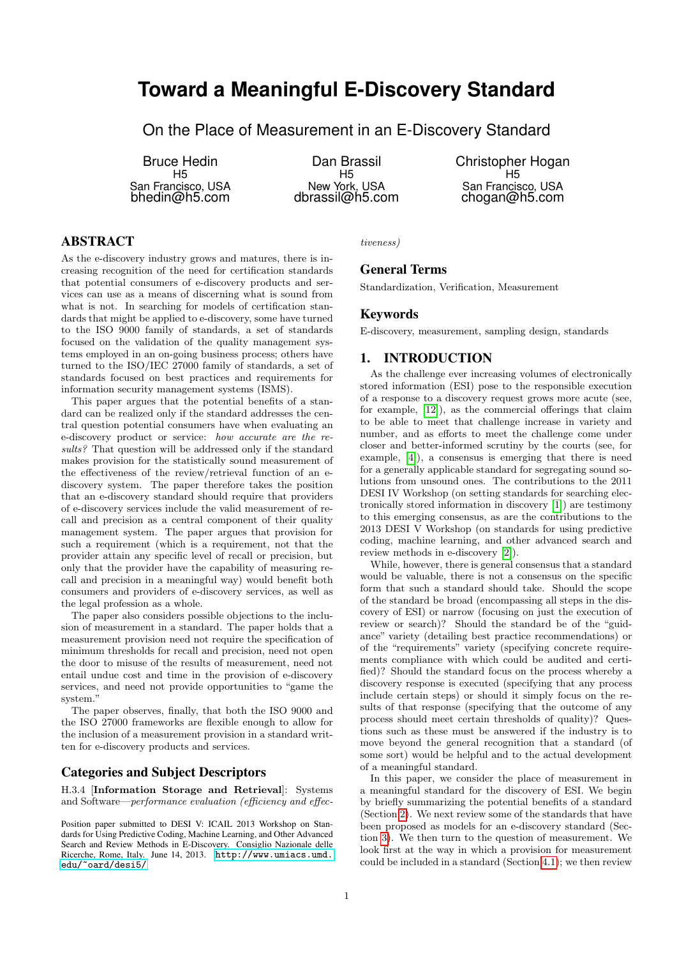# **Toward a Meaningful E-Discovery Standard**

On the Place of Measurement in an E-Discovery Standard

Bruce Hedin H5 San Francisco, USA bhedin@h5.com

Dan Brassil H5 New York, USA dbrassil@h5.com Christopher Hogan H5 San Francisco, USA chogan@h5.com

# ABSTRACT

As the e-discovery industry grows and matures, there is increasing recognition of the need for certification standards that potential consumers of e-discovery products and services can use as a means of discerning what is sound from what is not. In searching for models of certification standards that might be applied to e-discovery, some have turned to the ISO 9000 family of standards, a set of standards focused on the validation of the quality management systems employed in an on-going business process; others have turned to the ISO/IEC 27000 family of standards, a set of standards focused on best practices and requirements for information security management systems (ISMS).

This paper argues that the potential benefits of a standard can be realized only if the standard addresses the central question potential consumers have when evaluating an e-discovery product or service: how accurate are the results? That question will be addressed only if the standard makes provision for the statistically sound measurement of the effectiveness of the review/retrieval function of an ediscovery system. The paper therefore takes the position that an e-discovery standard should require that providers of e-discovery services include the valid measurement of recall and precision as a central component of their quality management system. The paper argues that provision for such a requirement (which is a requirement, not that the provider attain any specific level of recall or precision, but only that the provider have the capability of measuring recall and precision in a meaningful way) would benefit both consumers and providers of e-discovery services, as well as the legal profession as a whole.

The paper also considers possible objections to the inclusion of measurement in a standard. The paper holds that a measurement provision need not require the specification of minimum thresholds for recall and precision, need not open the door to misuse of the results of measurement, need not entail undue cost and time in the provision of e-discovery services, and need not provide opportunities to "game the system."

The paper observes, finally, that both the ISO 9000 and the ISO 27000 frameworks are flexible enough to allow for the inclusion of a measurement provision in a standard written for e-discovery products and services.

## Categories and Subject Descriptors

H.3.4 [Information Storage and Retrieval]: Systems and Software—performance evaluation (efficiency and effec-

Position paper submitted to DESI V: ICAIL 2013 Workshop on Standards for Using Predictive Coding, Machine Learning, and Other Advanced Search and Review Methods in E-Discovery. Consiglio Nazionale delle Ricerche, Rome, Italy. June 14, 2013. [http://www.umiacs.umd.](http://www.umiacs.umd.edu/~oard/desi5/) [edu/~oard/desi5/](http://www.umiacs.umd.edu/~oard/desi5/)

tiveness)

# General Terms

Standardization, Verification, Measurement

### Keywords

E-discovery, measurement, sampling design, standards

## 1. INTRODUCTION

As the challenge ever increasing volumes of electronically stored information (ESI) pose to the responsible execution of a response to a discovery request grows more acute (see, for example, [\[12\]](#page-6-0)), as the commercial offerings that claim to be able to meet that challenge increase in variety and number, and as efforts to meet the challenge come under closer and better-informed scrutiny by the courts (see, for example, [\[4\]](#page-6-1)), a consensus is emerging that there is need for a generally applicable standard for segregating sound solutions from unsound ones. The contributions to the 2011 DESI IV Workshop (on setting standards for searching electronically stored information in discovery [\[1\]](#page-6-2)) are testimony to this emerging consensus, as are the contributions to the 2013 DESI V Workshop (on standards for using predictive coding, machine learning, and other advanced search and review methods in e-discovery [\[2\]](#page-6-3)).

While, however, there is general consensus that a standard would be valuable, there is not a consensus on the specific form that such a standard should take. Should the scope of the standard be broad (encompassing all steps in the discovery of ESI) or narrow (focusing on just the execution of review or search)? Should the standard be of the "guidance" variety (detailing best practice recommendations) or of the "requirements" variety (specifying concrete requirements compliance with which could be audited and certified)? Should the standard focus on the process whereby a discovery response is executed (specifying that any process include certain steps) or should it simply focus on the results of that response (specifying that the outcome of any process should meet certain thresholds of quality)? Questions such as these must be answered if the industry is to move beyond the general recognition that a standard (of some sort) would be helpful and to the actual development of a meaningful standard.

In this paper, we consider the place of measurement in a meaningful standard for the discovery of ESI. We begin by briefly summarizing the potential benefits of a standard (Section [2\)](#page-1-0). We next review some of the standards that have been proposed as models for an e-discovery standard (Section [3\)](#page-1-1). We then turn to the question of measurement. We look first at the way in which a provision for measurement could be included in a standard (Section [4.1\)](#page-2-0); we then review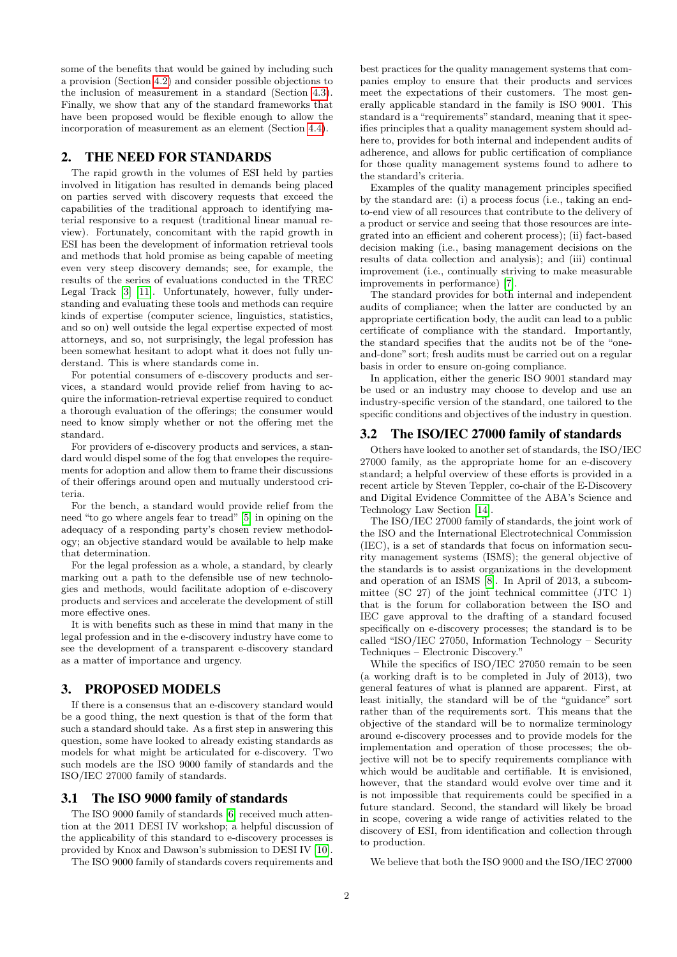some of the benefits that would be gained by including such a provision (Section [4.2\)](#page-2-1) and consider possible objections to the inclusion of measurement in a standard (Section [4.3\)](#page-3-0). Finally, we show that any of the standard frameworks that have been proposed would be flexible enough to allow the incorporation of measurement as an element (Section [4.4\)](#page-6-4).

# <span id="page-1-0"></span>2. THE NEED FOR STANDARDS

The rapid growth in the volumes of ESI held by parties involved in litigation has resulted in demands being placed on parties served with discovery requests that exceed the capabilities of the traditional approach to identifying material responsive to a request (traditional linear manual review). Fortunately, concomitant with the rapid growth in ESI has been the development of information retrieval tools and methods that hold promise as being capable of meeting even very steep discovery demands; see, for example, the results of the series of evaluations conducted in the TREC Legal Track [\[3\]](#page-6-5) [\[11\]](#page-6-6). Unfortunately, however, fully understanding and evaluating these tools and methods can require kinds of expertise (computer science, linguistics, statistics, and so on) well outside the legal expertise expected of most attorneys, and so, not surprisingly, the legal profession has been somewhat hesitant to adopt what it does not fully understand. This is where standards come in.

For potential consumers of e-discovery products and services, a standard would provide relief from having to acquire the information-retrieval expertise required to conduct a thorough evaluation of the offerings; the consumer would need to know simply whether or not the offering met the standard.

For providers of e-discovery products and services, a standard would dispel some of the fog that envelopes the requirements for adoption and allow them to frame their discussions of their offerings around open and mutually understood criteria.

For the bench, a standard would provide relief from the need "to go where angels fear to tread" [\[5\]](#page-6-7) in opining on the adequacy of a responding party's chosen review methodology; an objective standard would be available to help make that determination.

For the legal profession as a whole, a standard, by clearly marking out a path to the defensible use of new technologies and methods, would facilitate adoption of e-discovery products and services and accelerate the development of still more effective ones.

It is with benefits such as these in mind that many in the legal profession and in the e-discovery industry have come to see the development of a transparent e-discovery standard as a matter of importance and urgency.

# <span id="page-1-1"></span>3. PROPOSED MODELS

If there is a consensus that an e-discovery standard would be a good thing, the next question is that of the form that such a standard should take. As a first step in answering this question, some have looked to already existing standards as models for what might be articulated for e-discovery. Two such models are the ISO 9000 family of standards and the ISO/IEC 27000 family of standards.

## 3.1 The ISO 9000 family of standards

The ISO 9000 family of standards [\[6\]](#page-6-8) received much attention at the 2011 DESI IV workshop; a helpful discussion of the applicability of this standard to e-discovery processes is provided by Knox and Dawson's submission to DESI IV [\[10\]](#page-6-9).

The ISO 9000 family of standards covers requirements and

best practices for the quality management systems that companies employ to ensure that their products and services meet the expectations of their customers. The most generally applicable standard in the family is ISO 9001. This standard is a "requirements" standard, meaning that it specifies principles that a quality management system should adhere to, provides for both internal and independent audits of adherence, and allows for public certification of compliance for those quality management systems found to adhere to the standard's criteria.

Examples of the quality management principles specified by the standard are: (i) a process focus (i.e., taking an endto-end view of all resources that contribute to the delivery of a product or service and seeing that those resources are integrated into an efficient and coherent process); (ii) fact-based decision making (i.e., basing management decisions on the results of data collection and analysis); and (iii) continual improvement (i.e., continually striving to make measurable improvements in performance) [\[7\]](#page-6-10).

The standard provides for both internal and independent audits of compliance; when the latter are conducted by an appropriate certification body, the audit can lead to a public certificate of compliance with the standard. Importantly, the standard specifies that the audits not be of the "oneand-done" sort; fresh audits must be carried out on a regular basis in order to ensure on-going compliance.

In application, either the generic ISO 9001 standard may be used or an industry may choose to develop and use an industry-specific version of the standard, one tailored to the specific conditions and objectives of the industry in question.

#### 3.2 The ISO/IEC 27000 family of standards

Others have looked to another set of standards, the ISO/IEC 27000 family, as the appropriate home for an e-discovery standard; a helpful overview of these efforts is provided in a recent article by Steven Teppler, co-chair of the E-Discovery and Digital Evidence Committee of the ABA's Science and Technology Law Section [\[14\]](#page-6-11).

The ISO/IEC 27000 family of standards, the joint work of the ISO and the International Electrotechnical Commission (IEC), is a set of standards that focus on information security management systems (ISMS); the general objective of the standards is to assist organizations in the development and operation of an ISMS [\[8\]](#page-6-12). In April of 2013, a subcommittee (SC 27) of the joint technical committee (JTC 1) that is the forum for collaboration between the ISO and IEC gave approval to the drafting of a standard focused specifically on e-discovery processes; the standard is to be called "ISO/IEC 27050, Information Technology – Security Techniques – Electronic Discovery."

While the specifics of ISO/IEC 27050 remain to be seen (a working draft is to be completed in July of 2013), two general features of what is planned are apparent. First, at least initially, the standard will be of the "guidance" sort rather than of the requirements sort. This means that the objective of the standard will be to normalize terminology around e-discovery processes and to provide models for the implementation and operation of those processes; the objective will not be to specify requirements compliance with which would be auditable and certifiable. It is envisioned, however, that the standard would evolve over time and it is not impossible that requirements could be specified in a future standard. Second, the standard will likely be broad in scope, covering a wide range of activities related to the discovery of ESI, from identification and collection through to production.

We believe that both the ISO 9000 and the ISO/IEC 27000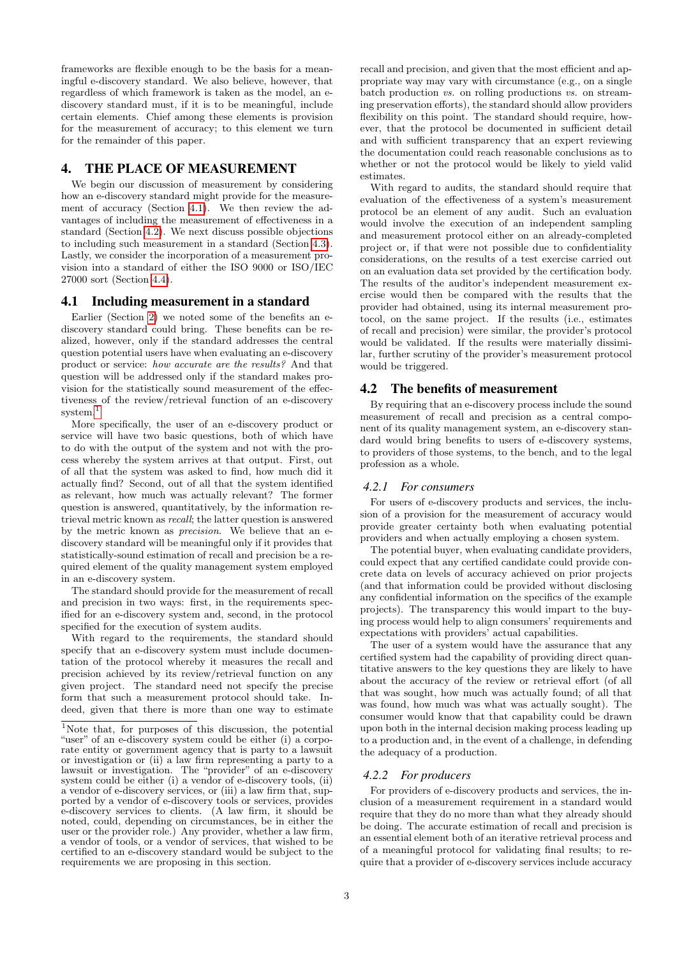frameworks are flexible enough to be the basis for a meaningful e-discovery standard. We also believe, however, that regardless of which framework is taken as the model, an ediscovery standard must, if it is to be meaningful, include certain elements. Chief among these elements is provision for the measurement of accuracy; to this element we turn for the remainder of this paper.

# 4. THE PLACE OF MEASUREMENT

We begin our discussion of measurement by considering how an e-discovery standard might provide for the measurement of accuracy (Section [4.1\)](#page-2-0). We then review the advantages of including the measurement of effectiveness in a standard (Section [4.2\)](#page-2-1). We next discuss possible objections to including such measurement in a standard (Section [4.3\)](#page-3-0). Lastly, we consider the incorporation of a measurement provision into a standard of either the ISO 9000 or ISO/IEC 27000 sort (Section [4.4\)](#page-6-4).

### <span id="page-2-0"></span>4.1 Including measurement in a standard

Earlier (Section [2\)](#page-1-0) we noted some of the benefits an ediscovery standard could bring. These benefits can be realized, however, only if the standard addresses the central question potential users have when evaluating an e-discovery product or service: how accurate are the results? And that question will be addressed only if the standard makes provision for the statistically sound measurement of the effectiveness of the review/retrieval function of an e-discovery system.<sup>[1](#page-2-2)</sup>

More specifically, the user of an e-discovery product or service will have two basic questions, both of which have to do with the output of the system and not with the process whereby the system arrives at that output. First, out of all that the system was asked to find, how much did it actually find? Second, out of all that the system identified as relevant, how much was actually relevant? The former question is answered, quantitatively, by the information retrieval metric known as recall; the latter question is answered by the metric known as precision. We believe that an ediscovery standard will be meaningful only if it provides that statistically-sound estimation of recall and precision be a required element of the quality management system employed in an e-discovery system.

The standard should provide for the measurement of recall and precision in two ways: first, in the requirements specified for an e-discovery system and, second, in the protocol specified for the execution of system audits.

With regard to the requirements, the standard should specify that an e-discovery system must include documentation of the protocol whereby it measures the recall and precision achieved by its review/retrieval function on any given project. The standard need not specify the precise form that such a measurement protocol should take. Indeed, given that there is more than one way to estimate

recall and precision, and given that the most efficient and appropriate way may vary with circumstance (e.g., on a single batch production vs. on rolling productions vs. on streaming preservation efforts), the standard should allow providers flexibility on this point. The standard should require, however, that the protocol be documented in sufficient detail and with sufficient transparency that an expert reviewing the documentation could reach reasonable conclusions as to whether or not the protocol would be likely to yield valid estimates.

With regard to audits, the standard should require that evaluation of the effectiveness of a system's measurement protocol be an element of any audit. Such an evaluation would involve the execution of an independent sampling and measurement protocol either on an already-completed project or, if that were not possible due to confidentiality considerations, on the results of a test exercise carried out on an evaluation data set provided by the certification body. The results of the auditor's independent measurement exercise would then be compared with the results that the provider had obtained, using its internal measurement protocol, on the same project. If the results (i.e., estimates of recall and precision) were similar, the provider's protocol would be validated. If the results were materially dissimilar, further scrutiny of the provider's measurement protocol would be triggered.

# <span id="page-2-1"></span>4.2 The benefits of measurement

By requiring that an e-discovery process include the sound measurement of recall and precision as a central component of its quality management system, an e-discovery standard would bring benefits to users of e-discovery systems, to providers of those systems, to the bench, and to the legal profession as a whole.

### *4.2.1 For consumers*

For users of e-discovery products and services, the inclusion of a provision for the measurement of accuracy would provide greater certainty both when evaluating potential providers and when actually employing a chosen system.

The potential buyer, when evaluating candidate providers, could expect that any certified candidate could provide concrete data on levels of accuracy achieved on prior projects (and that information could be provided without disclosing any confidential information on the specifics of the example projects). The transparency this would impart to the buying process would help to align consumers' requirements and expectations with providers' actual capabilities.

The user of a system would have the assurance that any certified system had the capability of providing direct quantitative answers to the key questions they are likely to have about the accuracy of the review or retrieval effort (of all that was sought, how much was actually found; of all that was found, how much was what was actually sought). The consumer would know that that capability could be drawn upon both in the internal decision making process leading up to a production and, in the event of a challenge, in defending the adequacy of a production.

### *4.2.2 For producers*

For providers of e-discovery products and services, the inclusion of a measurement requirement in a standard would require that they do no more than what they already should be doing. The accurate estimation of recall and precision is an essential element both of an iterative retrieval process and of a meaningful protocol for validating final results; to require that a provider of e-discovery services include accuracy

<span id="page-2-2"></span><sup>&</sup>lt;sup>1</sup>Note that, for purposes of this discussion, the potential "user" of an e-discovery system could be either (i) a corporate entity or government agency that is party to a lawsuit or investigation or (ii) a law firm representing a party to a lawsuit or investigation. The "provider" of an e-discovery system could be either (i) a vendor of e-discovery tools, (ii) a vendor of e-discovery services, or (iii) a law firm that, supported by a vendor of e-discovery tools or services, provides e-discovery services to clients. (A law firm, it should be noted, could, depending on circumstances, be in either the user or the provider role.) Any provider, whether a law firm, a vendor of tools, or a vendor of services, that wished to be certified to an e-discovery standard would be subject to the requirements we are proposing in this section.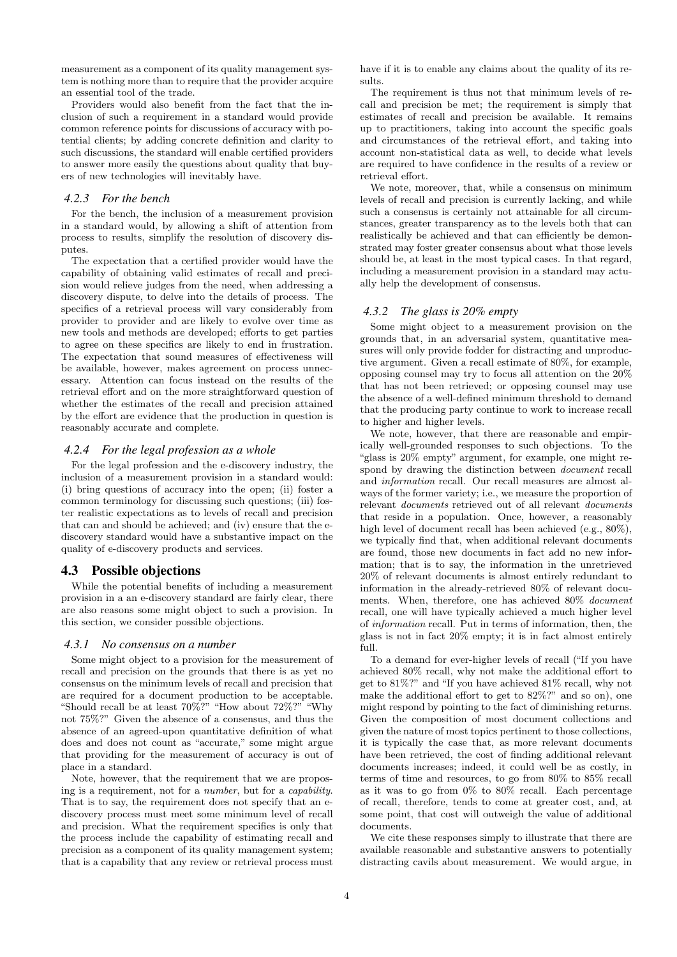measurement as a component of its quality management system is nothing more than to require that the provider acquire an essential tool of the trade.

Providers would also benefit from the fact that the inclusion of such a requirement in a standard would provide common reference points for discussions of accuracy with potential clients; by adding concrete definition and clarity to such discussions, the standard will enable certified providers to answer more easily the questions about quality that buyers of new technologies will inevitably have.

#### *4.2.3 For the bench*

For the bench, the inclusion of a measurement provision in a standard would, by allowing a shift of attention from process to results, simplify the resolution of discovery disputes.

The expectation that a certified provider would have the capability of obtaining valid estimates of recall and precision would relieve judges from the need, when addressing a discovery dispute, to delve into the details of process. The specifics of a retrieval process will vary considerably from provider to provider and are likely to evolve over time as new tools and methods are developed; efforts to get parties to agree on these specifics are likely to end in frustration. The expectation that sound measures of effectiveness will be available, however, makes agreement on process unnecessary. Attention can focus instead on the results of the retrieval effort and on the more straightforward question of whether the estimates of the recall and precision attained by the effort are evidence that the production in question is reasonably accurate and complete.

#### *4.2.4 For the legal profession as a whole*

For the legal profession and the e-discovery industry, the inclusion of a measurement provision in a standard would: (i) bring questions of accuracy into the open; (ii) foster a common terminology for discussing such questions; (iii) foster realistic expectations as to levels of recall and precision that can and should be achieved; and (iv) ensure that the ediscovery standard would have a substantive impact on the quality of e-discovery products and services.

#### <span id="page-3-0"></span>4.3 Possible objections

While the potential benefits of including a measurement provision in a an e-discovery standard are fairly clear, there are also reasons some might object to such a provision. In this section, we consider possible objections.

#### *4.3.1 No consensus on a number*

Some might object to a provision for the measurement of recall and precision on the grounds that there is as yet no consensus on the minimum levels of recall and precision that are required for a document production to be acceptable. "Should recall be at least 70%?" "How about 72%?" "Why not 75%?" Given the absence of a consensus, and thus the absence of an agreed-upon quantitative definition of what does and does not count as "accurate," some might argue that providing for the measurement of accuracy is out of place in a standard.

Note, however, that the requirement that we are proposing is a requirement, not for a number, but for a capability. That is to say, the requirement does not specify that an ediscovery process must meet some minimum level of recall and precision. What the requirement specifies is only that the process include the capability of estimating recall and precision as a component of its quality management system; that is a capability that any review or retrieval process must

have if it is to enable any claims about the quality of its results.

The requirement is thus not that minimum levels of recall and precision be met; the requirement is simply that estimates of recall and precision be available. It remains up to practitioners, taking into account the specific goals and circumstances of the retrieval effort, and taking into account non-statistical data as well, to decide what levels are required to have confidence in the results of a review or retrieval effort.

We note, moreover, that, while a consensus on minimum levels of recall and precision is currently lacking, and while such a consensus is certainly not attainable for all circumstances, greater transparency as to the levels both that can realistically be achieved and that can efficiently be demonstrated may foster greater consensus about what those levels should be, at least in the most typical cases. In that regard, including a measurement provision in a standard may actually help the development of consensus.

#### *4.3.2 The glass is 20% empty*

Some might object to a measurement provision on the grounds that, in an adversarial system, quantitative measures will only provide fodder for distracting and unproductive argument. Given a recall estimate of 80%, for example, opposing counsel may try to focus all attention on the 20% that has not been retrieved; or opposing counsel may use the absence of a well-defined minimum threshold to demand that the producing party continue to work to increase recall to higher and higher levels.

We note, however, that there are reasonable and empirically well-grounded responses to such objections. To the "glass is 20% empty" argument, for example, one might respond by drawing the distinction between document recall and information recall. Our recall measures are almost always of the former variety; i.e., we measure the proportion of relevant documents retrieved out of all relevant documents that reside in a population. Once, however, a reasonably high level of document recall has been achieved (e.g.,  $80\%$ ), we typically find that, when additional relevant documents are found, those new documents in fact add no new information; that is to say, the information in the unretrieved 20% of relevant documents is almost entirely redundant to information in the already-retrieved 80% of relevant documents. When, therefore, one has achieved 80% document recall, one will have typically achieved a much higher level of information recall. Put in terms of information, then, the glass is not in fact 20% empty; it is in fact almost entirely full.

To a demand for ever-higher levels of recall ("If you have achieved 80% recall, why not make the additional effort to get to 81%?" and "If you have achieved 81% recall, why not make the additional effort to get to 82%?" and so on), one might respond by pointing to the fact of diminishing returns. Given the composition of most document collections and given the nature of most topics pertinent to those collections, it is typically the case that, as more relevant documents have been retrieved, the cost of finding additional relevant documents increases; indeed, it could well be as costly, in terms of time and resources, to go from 80% to 85% recall as it was to go from 0% to 80% recall. Each percentage of recall, therefore, tends to come at greater cost, and, at some point, that cost will outweigh the value of additional documents.

We cite these responses simply to illustrate that there are available reasonable and substantive answers to potentially distracting cavils about measurement. We would argue, in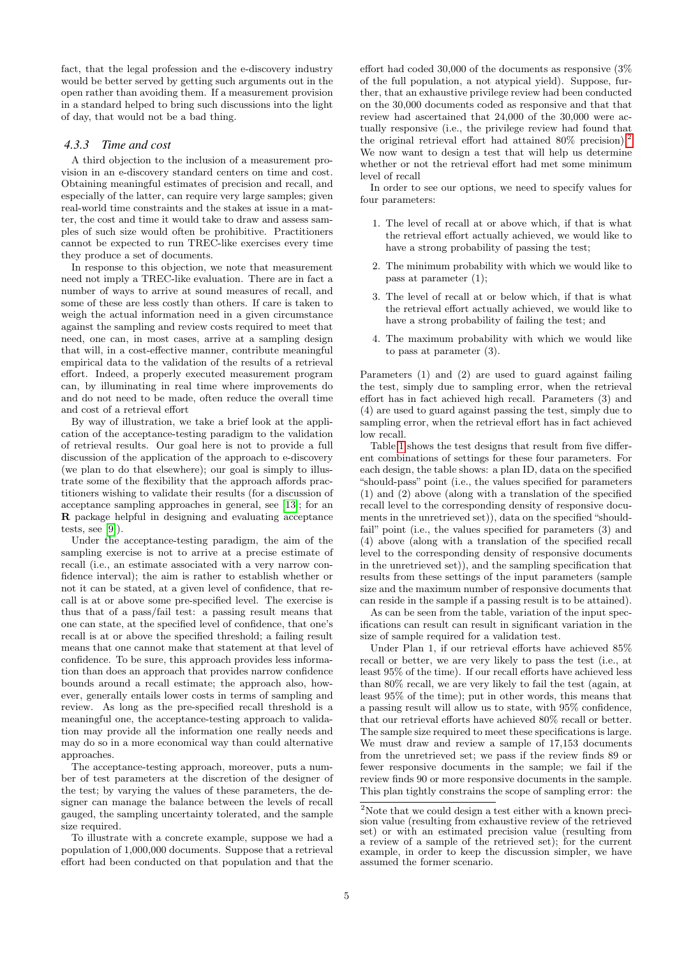fact, that the legal profession and the e-discovery industry would be better served by getting such arguments out in the open rather than avoiding them. If a measurement provision in a standard helped to bring such discussions into the light of day, that would not be a bad thing.

#### *4.3.3 Time and cost*

A third objection to the inclusion of a measurement provision in an e-discovery standard centers on time and cost. Obtaining meaningful estimates of precision and recall, and especially of the latter, can require very large samples; given real-world time constraints and the stakes at issue in a matter, the cost and time it would take to draw and assess samples of such size would often be prohibitive. Practitioners cannot be expected to run TREC-like exercises every time they produce a set of documents.

In response to this objection, we note that measurement need not imply a TREC-like evaluation. There are in fact a number of ways to arrive at sound measures of recall, and some of these are less costly than others. If care is taken to weigh the actual information need in a given circumstance against the sampling and review costs required to meet that need, one can, in most cases, arrive at a sampling design that will, in a cost-effective manner, contribute meaningful empirical data to the validation of the results of a retrieval effort. Indeed, a properly executed measurement program can, by illuminating in real time where improvements do and do not need to be made, often reduce the overall time and cost of a retrieval effort

By way of illustration, we take a brief look at the application of the acceptance-testing paradigm to the validation of retrieval results. Our goal here is not to provide a full discussion of the application of the approach to e-discovery (we plan to do that elsewhere); our goal is simply to illustrate some of the flexibility that the approach affords practitioners wishing to validate their results (for a discussion of acceptance sampling approaches in general, see [\[13\]](#page-6-13); for an R package helpful in designing and evaluating acceptance tests, see [\[9\]](#page-6-14)).

Under the acceptance-testing paradigm, the aim of the sampling exercise is not to arrive at a precise estimate of recall (i.e., an estimate associated with a very narrow confidence interval); the aim is rather to establish whether or not it can be stated, at a given level of confidence, that recall is at or above some pre-specified level. The exercise is thus that of a pass/fail test: a passing result means that one can state, at the specified level of confidence, that one's recall is at or above the specified threshold; a failing result means that one cannot make that statement at that level of confidence. To be sure, this approach provides less information than does an approach that provides narrow confidence bounds around a recall estimate; the approach also, however, generally entails lower costs in terms of sampling and review. As long as the pre-specified recall threshold is a meaningful one, the acceptance-testing approach to validation may provide all the information one really needs and may do so in a more economical way than could alternative approaches.

The acceptance-testing approach, moreover, puts a number of test parameters at the discretion of the designer of the test; by varying the values of these parameters, the designer can manage the balance between the levels of recall gauged, the sampling uncertainty tolerated, and the sample size required.

To illustrate with a concrete example, suppose we had a population of 1,000,000 documents. Suppose that a retrieval effort had been conducted on that population and that the

effort had coded 30,000 of the documents as responsive (3% of the full population, a not atypical yield). Suppose, further, that an exhaustive privilege review had been conducted on the 30,000 documents coded as responsive and that that review had ascertained that 24,000 of the 30,000 were actually responsive (i.e., the privilege review had found that the original retrieval effort had attained  $80\%$  precision).<sup>[2](#page-4-0)</sup> We now want to design a test that will help us determine whether or not the retrieval effort had met some minimum level of recall

In order to see our options, we need to specify values for four parameters:

- 1. The level of recall at or above which, if that is what the retrieval effort actually achieved, we would like to have a strong probability of passing the test;
- 2. The minimum probability with which we would like to pass at parameter (1);
- 3. The level of recall at or below which, if that is what the retrieval effort actually achieved, we would like to have a strong probability of failing the test; and
- 4. The maximum probability with which we would like to pass at parameter (3).

Parameters (1) and (2) are used to guard against failing the test, simply due to sampling error, when the retrieval effort has in fact achieved high recall. Parameters (3) and (4) are used to guard against passing the test, simply due to sampling error, when the retrieval effort has in fact achieved low recall.

Table [1](#page-5-0) shows the test designs that result from five different combinations of settings for these four parameters. For each design, the table shows: a plan ID, data on the specified "should-pass" point (i.e., the values specified for parameters (1) and (2) above (along with a translation of the specified recall level to the corresponding density of responsive documents in the unretrieved set)), data on the specified "shouldfail" point (i.e., the values specified for parameters  $(3)$  and (4) above (along with a translation of the specified recall level to the corresponding density of responsive documents in the unretrieved set)), and the sampling specification that results from these settings of the input parameters (sample size and the maximum number of responsive documents that can reside in the sample if a passing result is to be attained).

As can be seen from the table, variation of the input specifications can result can result in significant variation in the size of sample required for a validation test.

Under Plan 1, if our retrieval efforts have achieved 85% recall or better, we are very likely to pass the test (i.e., at least 95% of the time). If our recall efforts have achieved less than 80% recall, we are very likely to fail the test (again, at least 95% of the time); put in other words, this means that a passing result will allow us to state, with 95% confidence, that our retrieval efforts have achieved 80% recall or better. The sample size required to meet these specifications is large. We must draw and review a sample of 17,153 documents from the unretrieved set; we pass if the review finds 89 or fewer responsive documents in the sample; we fail if the review finds 90 or more responsive documents in the sample. This plan tightly constrains the scope of sampling error: the

<span id="page-4-0"></span> $2\overline{2}$ Note that we could design a test either with a known precision value (resulting from exhaustive review of the retrieved set) or with an estimated precision value (resulting from a review of a sample of the retrieved set); for the current example, in order to keep the discussion simpler, we have assumed the former scenario.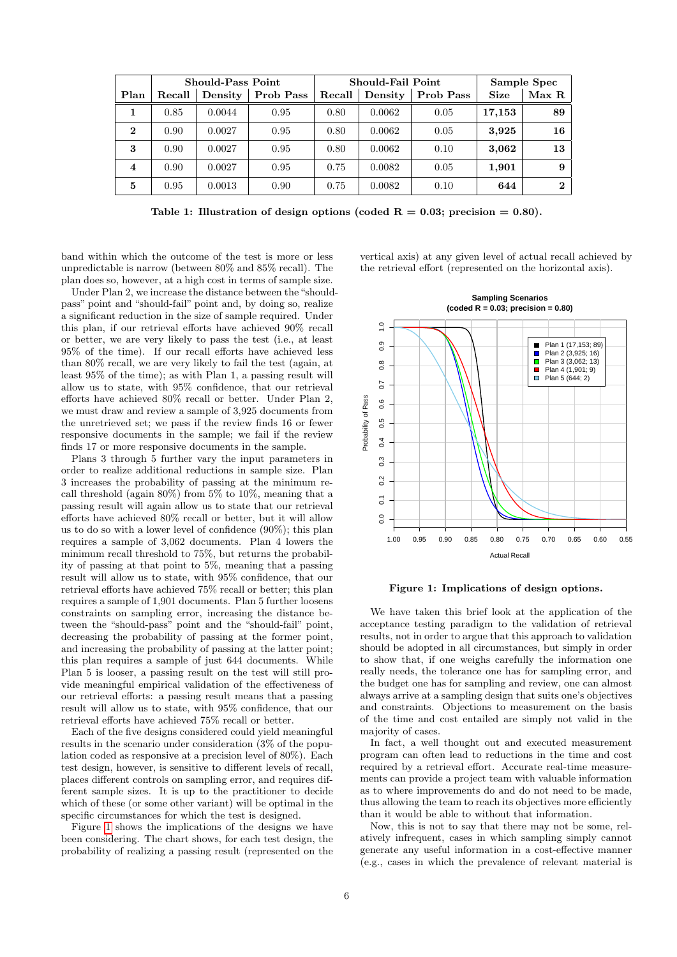|             | <b>Should-Pass Point</b> |         |           | Should-Fail Point |         |           | Sample Spec |          |
|-------------|--------------------------|---------|-----------|-------------------|---------|-----------|-------------|----------|
| Plan        | Recall                   | Density | Prob Pass | Recall            | Density | Prob Pass | <b>Size</b> | Max R    |
|             | 0.85                     | 0.0044  | 0.95      | 0.80              | 0.0062  | 0.05      | 17,153      | 89       |
| $\mathbf 2$ | 0.90                     | 0.0027  | 0.95      | 0.80              | 0.0062  | 0.05      | 3,925       | 16       |
| 3           | 0.90                     | 0.0027  | 0.95      | 0.80              | 0.0062  | 0.10      | 3,062       | 13       |
| 4           | 0.90                     | 0.0027  | 0.95      | 0.75              | 0.0082  | 0.05      | 1,901       | 9        |
| 5           | 0.95                     | 0.0013  | 0.90      | 0.75              | 0.0082  | 0.10      | 644         | $\bf{2}$ |

<span id="page-5-0"></span>Table 1: Illustration of design options (coded  $R = 0.03$ ; precision = 0.80).

band within which the outcome of the test is more or less unpredictable is narrow (between 80% and 85% recall). The plan does so, however, at a high cost in terms of sample size. vertical axis) at any given level of actual recall achieved by the retrieval effort (represented on the horizontal axis).

Under Plan 2, we increase the distance between the "shouldpass" point and "should-fail" point and, by doing so, realize a significant reduction in the size of sample required. Under this plan, if our retrieval efforts have achieved 90% recall or better, we are very likely to pass the test (i.e., at least 95% of the time). If our recall efforts have achieved less than 80% recall, we are very likely to fail the test (again, at least 95% of the time); as with Plan 1, a passing result will allow us to state, with 95% confidence, that our retrieval efforts have achieved 80% recall or better. Under Plan 2, we must draw and review a sample of 3,925 documents from the unretrieved set; we pass if the review finds 16 or fewer responsive documents in the sample; we fail if the review finds 17 or more responsive documents in the sample.

Plans 3 through 5 further vary the input parameters in order to realize additional reductions in sample size. Plan 3 increases the probability of passing at the minimum recall threshold (again 80%) from 5% to 10%, meaning that a passing result will again allow us to state that our retrieval efforts have achieved 80% recall or better, but it will allow us to do so with a lower level of confidence (90%); this plan requires a sample of 3,062 documents. Plan 4 lowers the minimum recall threshold to 75%, but returns the probability of passing at that point to 5%, meaning that a passing result will allow us to state, with 95% confidence, that our retrieval efforts have achieved 75% recall or better; this plan requires a sample of 1,901 documents. Plan 5 further loosens constraints on sampling error, increasing the distance between the "should-pass" point and the "should-fail" point, decreasing the probability of passing at the former point, and increasing the probability of passing at the latter point; this plan requires a sample of just 644 documents. While Plan 5 is looser, a passing result on the test will still provide meaningful empirical validation of the effectiveness of our retrieval efforts: a passing result means that a passing result will allow us to state, with 95% confidence, that our retrieval efforts have achieved 75% recall or better.

Each of the five designs considered could yield meaningful results in the scenario under consideration (3% of the population coded as responsive at a precision level of 80%). Each test design, however, is sensitive to different levels of recall, places different controls on sampling error, and requires different sample sizes. It is up to the practitioner to decide which of these (or some other variant) will be optimal in the specific circumstances for which the test is designed.

Figure [1](#page-5-1) shows the implications of the designs we have been considering. The chart shows, for each test design, the probability of realizing a passing result (represented on the



<span id="page-5-1"></span>Figure 1: Implications of design options.

We have taken this brief look at the application of the acceptance testing paradigm to the validation of retrieval results, not in order to argue that this approach to validation should be adopted in all circumstances, but simply in order to show that, if one weighs carefully the information one really needs, the tolerance one has for sampling error, and the budget one has for sampling and review, one can almost always arrive at a sampling design that suits one's objectives and constraints. Objections to measurement on the basis of the time and cost entailed are simply not valid in the majority of cases.

In fact, a well thought out and executed measurement program can often lead to reductions in the time and cost required by a retrieval effort. Accurate real-time measurements can provide a project team with valuable information as to where improvements do and do not need to be made, thus allowing the team to reach its objectives more efficiently than it would be able to without that information.

Now, this is not to say that there may not be some, relatively infrequent, cases in which sampling simply cannot generate any useful information in a cost-effective manner (e.g., cases in which the prevalence of relevant material is